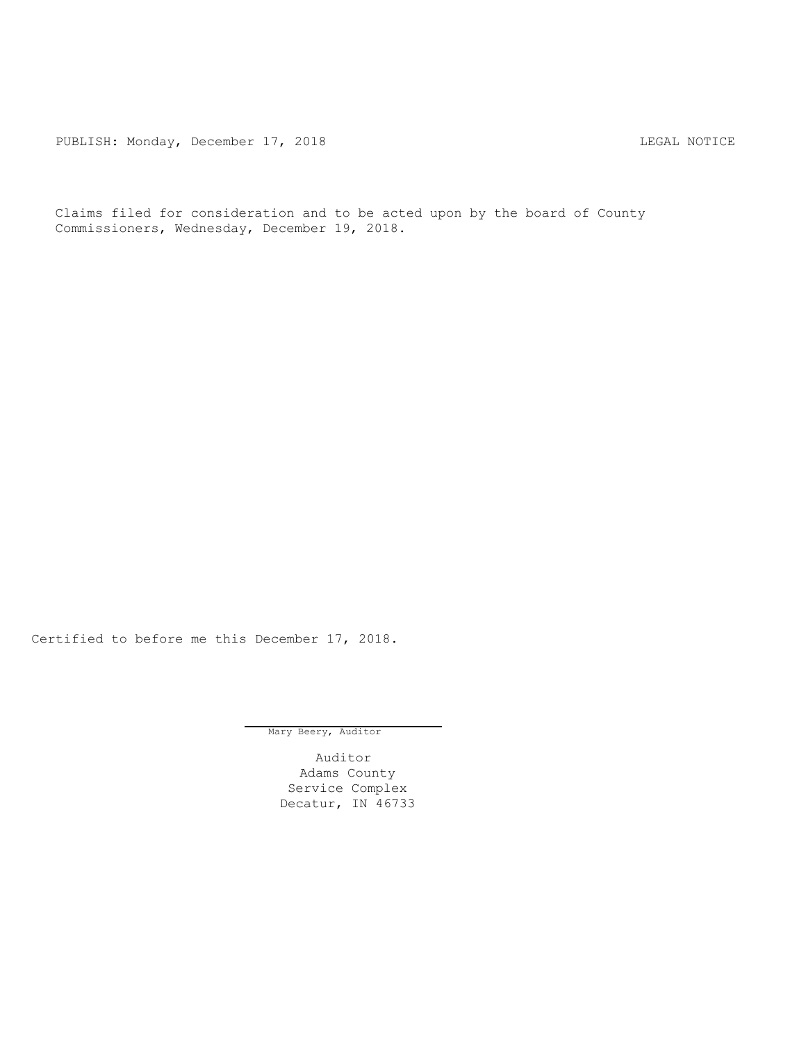PUBLISH: Monday, December 17, 2018 CHA CHANGE CONSTRUCTED MOTICE

Claims filed for consideration and to be acted upon by the board of County Commissioners, Wednesday, December 19, 2018.

Certified to before me this December 17, 2018.

Mary Beery, Auditor

Auditor Adams County Service Complex Decatur, IN 46733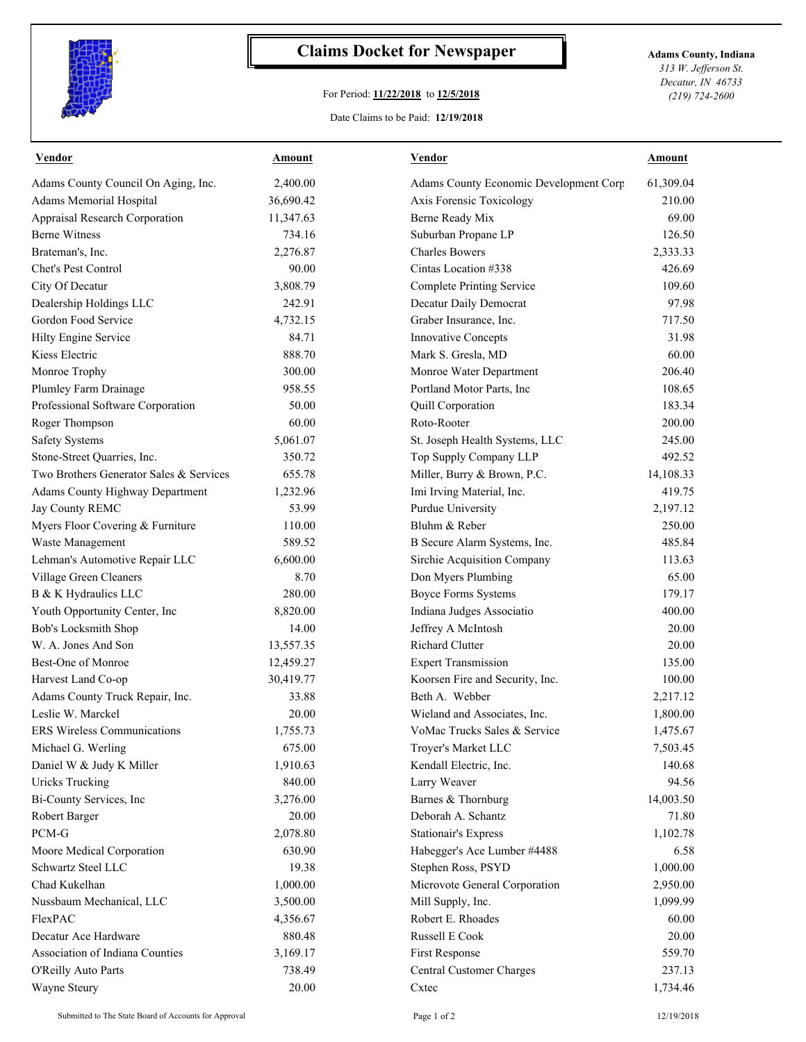

## **Claims Docket for Newspaper Adams County, Indiana**

## For Period: **11/22/2018** to **12/5/2018**

*313 W. Jefferson St. Decatur, IN 46733 (219) 724-2600*

## Date Claims to be Paid: **12/19/2018**

| <b>Vendor</b>                           | <b>Amount</b> | <b>Vendor</b>                          | <b>Amount</b> |
|-----------------------------------------|---------------|----------------------------------------|---------------|
| Adams County Council On Aging, Inc.     | 2,400.00      | Adams County Economic Development Corp | 61,309.04     |
| Adams Memorial Hospital                 | 36,690.42     | Axis Forensic Toxicology               | 210.00        |
| Appraisal Research Corporation          | 11,347.63     | <b>Berne Ready Mix</b>                 | 69.00         |
| <b>Berne Witness</b>                    | 734.16        | Suburban Propane LP                    | 126.50        |
| Brateman's, Inc.                        | 2,276.87      | <b>Charles Bowers</b>                  | 2,333.33      |
| Chet's Pest Control                     | 90.00         | Cintas Location #338                   | 426.69        |
| City Of Decatur                         | 3,808.79      | <b>Complete Printing Service</b>       | 109.60        |
| Dealership Holdings LLC                 | 242.91        | Decatur Daily Democrat                 | 97.98         |
| Gordon Food Service                     | 4,732.15      | Graber Insurance, Inc.                 | 717.50        |
| Hilty Engine Service                    | 84.71         | Innovative Concepts                    | 31.98         |
| Kiess Electric                          | 888.70        | Mark S. Gresla, MD                     | 60.00         |
| Monroe Trophy                           | 300.00        | Monroe Water Department                | 206.40        |
| Plumley Farm Drainage                   | 958.55        | Portland Motor Parts, Inc              | 108.65        |
| Professional Software Corporation       | 50.00         | Quill Corporation                      | 183.34        |
| Roger Thompson                          | 60.00         | Roto-Rooter                            | 200.00        |
| <b>Safety Systems</b>                   | 5,061.07      | St. Joseph Health Systems, LLC         | 245.00        |
| Stone-Street Quarries, Inc.             | 350.72        | Top Supply Company LLP                 | 492.52        |
| Two Brothers Generator Sales & Services | 655.78        | Miller, Burry & Brown, P.C.            | 14,108.33     |
| Adams County Highway Department         | 1,232.96      | Imi Irving Material, Inc.              | 419.75        |
| Jay County REMC                         | 53.99         | Purdue University                      | 2,197.12      |
| Myers Floor Covering & Furniture        | 110.00        | Bluhm & Reber                          | 250.00        |
| Waste Management                        | 589.52        | B Secure Alarm Systems, Inc.           | 485.84        |
| Lehman's Automotive Repair LLC          | 6,600.00      | Sirchie Acquisition Company            | 113.63        |
| Village Green Cleaners                  | 8.70          | Don Myers Plumbing                     | 65.00         |
| B & K Hydraulics LLC                    | 280.00        | <b>Boyce Forms Systems</b>             | 179.17        |
| Youth Opportunity Center, Inc           | 8,820.00      | Indiana Judges Associatio              | 400.00        |
| Bob's Locksmith Shop                    | 14.00         | Jeffrey A McIntosh                     | 20.00         |
| W. A. Jones And Son                     | 13,557.35     | Richard Clutter                        | 20.00         |
| Best-One of Monroe                      | 12,459.27     | <b>Expert Transmission</b>             | 135.00        |
| Harvest Land Co-op                      | 30,419.77     | Koorsen Fire and Security, Inc.        | 100.00        |
| Adams County Truck Repair, Inc.         | 33.88         | Beth A. Webber                         | 2,217.12      |
| Leslie W. Marckel                       | 20.00         | Wieland and Associates, Inc.           | 1,800.00      |
| ERS Wireless Communications             | 1,755.73      | VoMac Trucks Sales & Service           | 1,475.67      |
| Michael G. Werling                      | 675.00        | Troyer's Market LLC                    | 7,503.45      |
| Daniel W & Judy K Miller                | 1,910.63      | Kendall Electric, Inc.                 | 140.68        |
| <b>Uricks Trucking</b>                  | 840.00        | Larry Weaver                           | 94.56         |
| Bi-County Services, Inc                 | 3,276.00      | Barnes & Thornburg                     | 14,003.50     |
| Robert Barger                           | 20.00         | Deborah A. Schantz                     | 71.80         |
| $\rm{PCM}\mbox{-}G$                     | 2,078.80      | <b>Stationair's Express</b>            | 1,102.78      |
| Moore Medical Corporation               | 630.90        | Habegger's Ace Lumber #4488            | 6.58          |
| Schwartz Steel LLC                      | 19.38         | Stephen Ross, PSYD                     | 1,000.00      |
| Chad Kukelhan                           | 1,000.00      | Microvote General Corporation          | 2,950.00      |
| Nussbaum Mechanical, LLC                | 3,500.00      | Mill Supply, Inc.                      | 1,099.99      |
| FlexPAC                                 | 4,356.67      | Robert E. Rhoades                      | 60.00         |
| Decatur Ace Hardware                    | 880.48        | Russell E Cook                         | 20.00         |
| Association of Indiana Counties         | 3,169.17      | First Response                         | 559.70        |
|                                         |               | Central Customer Charges               | 237.13        |
| O'Reilly Auto Parts                     | 738.49        |                                        |               |